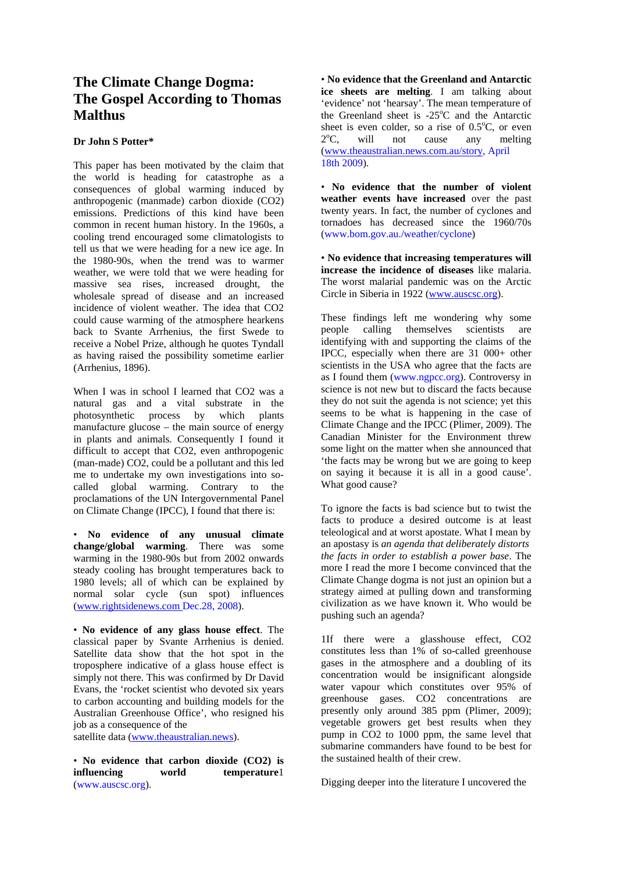# **The Climate Change Dogma: The Gospel According to Thomas Malthus**

## **Dr John S Potter\***

This paper has been motivated by the claim that the world is heading for catastrophe as a consequences of global warming induced by anthropogenic (manmade) carbon dioxide (CO2) emissions. Predictions of this kind have been common in recent human history. In the 1960s, a cooling trend encouraged some climatologists to tell us that we were heading for a new ice age. In the 1980-90s, when the trend was to warmer weather, we were told that we were heading for massive sea rises, increased drought, the wholesale spread of disease and an increased incidence of violent weather. The idea that CO2 could cause warming of the atmosphere hearkens back to Svante Arrhenius, the first Swede to receive a Nobel Prize, although he quotes Tyndall as having raised the possibility sometime earlier (Arrhenius, 1896).

When I was in school I learned that CO2 was a natural gas and a vital substrate in the photosynthetic process by which plants manufacture glucose – the main source of energy in plants and animals. Consequently I found it difficult to accept that CO2, even anthropogenic (man-made) CO2, could be a pollutant and this led me to undertake my own investigations into socalled global warming. Contrary to the proclamations of the UN Intergovernmental Panel on Climate Change (IPCC), I found that there is:

• **No evidence of any unusual climate change/global warming**. There was some warming in the 1980-90s but from 2002 onwards steady cooling has brought temperatures back to 1980 levels; all of which can be explained by normal solar cycle (sun spot) influences (www.rightsidenews.com Dec.28, 2008).

• **No evidence of any glass house effect**. The classical paper by Svante Arrhenius is denied. Satellite data show that the hot spot in the troposphere indicative of a glass house effect is simply not there. This was confirmed by Dr David Evans, the 'rocket scientist who devoted six years to carbon accounting and building models for the Australian Greenhouse Office', who resigned his job as a consequence of the

satellite data (www.theaustralian.news).

• **No evidence that carbon dioxide (CO2) is influencing** world temperature1 (www.auscsc.org).

• **No evidence that the Greenland and Antarctic ice sheets are melting**. I am talking about 'evidence' not 'hearsay'. The mean temperature of the Greenland sheet is -25°C and the Antarctic sheet is even colder, so a rise of  $0.5^{\circ}$ C, or even  $2^{\circ}C$ . will not cause any melting (www.theaustralian.news.com.au/story, April 18th 2009).

• **No evidence that the number of violent weather events have increased** over the past twenty years. In fact, the number of cyclones and tornadoes has decreased since the 1960/70s (www.bom.gov.au./weather/cyclone)

• **No evidence that increasing temperatures will increase the incidence of diseases** like malaria. The worst malarial pandemic was on the Arctic Circle in Siberia in 1922 (www.auscsc.org).

These findings left me wondering why some people calling themselves scientists are identifying with and supporting the claims of the IPCC, especially when there are 31 000+ other scientists in the USA who agree that the facts are as I found them (www.ngpcc.org). Controversy in science is not new but to discard the facts because they do not suit the agenda is not science; yet this seems to be what is happening in the case of Climate Change and the IPCC (Plimer, 2009). The Canadian Minister for the Environment threw some light on the matter when she announced that 'the facts may be wrong but we are going to keep on saying it because it is all in a good cause'. What good cause?

To ignore the facts is bad science but to twist the facts to produce a desired outcome is at least teleological and at worst apostate. What I mean by an apostasy is *an agenda that deliberately distorts the facts in order to establish a power base*. The more I read the more I become convinced that the Climate Change dogma is not just an opinion but a strategy aimed at pulling down and transforming civilization as we have known it. Who would be pushing such an agenda?

1If there were a glasshouse effect, CO2 constitutes less than 1% of so-called greenhouse gases in the atmosphere and a doubling of its concentration would be insignificant alongside water vapour which constitutes over 95% of greenhouse gases. CO2 concentrations are presently only around 385 ppm (Plimer, 2009); vegetable growers get best results when they pump in CO2 to 1000 ppm, the same level that submarine commanders have found to be best for the sustained health of their crew.

Digging deeper into the literature I uncovered the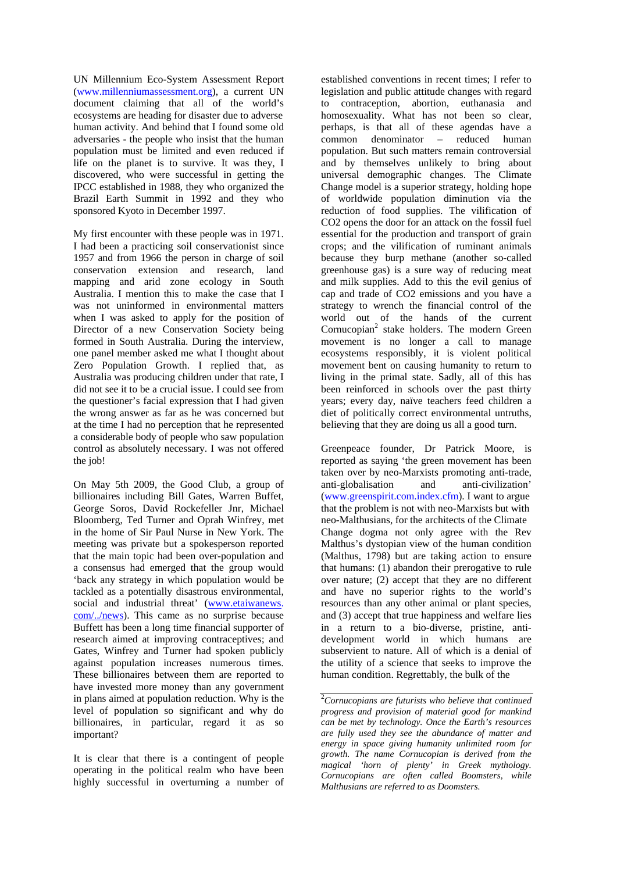UN Millennium Eco-System Assessment Report (www.millenniumassessment.org), a current UN document claiming that all of the world's ecosystems are heading for disaster due to adverse human activity. And behind that I found some old adversaries - the people who insist that the human population must be limited and even reduced if life on the planet is to survive. It was they, I discovered, who were successful in getting the IPCC established in 1988, they who organized the Brazil Earth Summit in 1992 and they who sponsored Kyoto in December 1997.

My first encounter with these people was in 1971. I had been a practicing soil conservationist since 1957 and from 1966 the person in charge of soil conservation extension and research, land mapping and arid zone ecology in South Australia. I mention this to make the case that I was not uninformed in environmental matters when I was asked to apply for the position of Director of a new Conservation Society being formed in South Australia. During the interview, one panel member asked me what I thought about Zero Population Growth. I replied that, as Australia was producing children under that rate, I did not see it to be a crucial issue. I could see from the questioner's facial expression that I had given the wrong answer as far as he was concerned but at the time I had no perception that he represented a considerable body of people who saw population control as absolutely necessary. I was not offered the job!

On May 5th 2009, the Good Club, a group of billionaires including Bill Gates, Warren Buffet, George Soros, David Rockefeller Jnr, Michael Bloomberg, Ted Turner and Oprah Winfrey, met in the home of Sir Paul Nurse in New York. The meeting was private but a spokesperson reported that the main topic had been over-population and a consensus had emerged that the group would 'back any strategy in which population would be tackled as a potentially disastrous environmental, social and industrial threat' (www.etaiwanews. com/../news). This came as no surprise because Buffett has been a long time financial supporter of research aimed at improving contraceptives; and Gates, Winfrey and Turner had spoken publicly against population increases numerous times. These billionaires between them are reported to have invested more money than any government in plans aimed at population reduction. Why is the level of population so significant and why do billionaires, in particular, regard it as so important?

It is clear that there is a contingent of people operating in the political realm who have been highly successful in overturning a number of established conventions in recent times; I refer to legislation and public attitude changes with regard to contraception, abortion, euthanasia and homosexuality. What has not been so clear, perhaps, is that all of these agendas have a common denominator – reduced human population. But such matters remain controversial and by themselves unlikely to bring about universal demographic changes. The Climate Change model is a superior strategy, holding hope of worldwide population diminution via the reduction of food supplies. The vilification of CO2 opens the door for an attack on the fossil fuel essential for the production and transport of grain crops; and the vilification of ruminant animals because they burp methane (another so-called greenhouse gas) is a sure way of reducing meat and milk supplies. Add to this the evil genius of cap and trade of CO2 emissions and you have a strategy to wrench the financial control of the world out of the hands of the current Cornucopian<sup>2</sup> stake holders. The modern Green movement is no longer a call to manage ecosystems responsibly, it is violent political movement bent on causing humanity to return to living in the primal state. Sadly, all of this has been reinforced in schools over the past thirty years; every day, naïve teachers feed children a diet of politically correct environmental untruths, believing that they are doing us all a good turn.

Greenpeace founder, Dr Patrick Moore, is reported as saying 'the green movement has been taken over by neo-Marxists promoting anti-trade, anti-globalisation and anti-civilization' (www.greenspirit.com.index.cfm). I want to argue that the problem is not with neo-Marxists but with neo-Malthusians, for the architects of the Climate Change dogma not only agree with the Rev Malthus's dystopian view of the human condition (Malthus, 1798) but are taking action to ensure that humans: (1) abandon their prerogative to rule over nature; (2) accept that they are no different and have no superior rights to the world's resources than any other animal or plant species, and (3) accept that true happiness and welfare lies in a return to a bio-diverse, pristine, antidevelopment world in which humans are subservient to nature. All of which is a denial of the utility of a science that seeks to improve the human condition. Regrettably, the bulk of the

<sup>2</sup> *Cornucopians are futurists who believe that continued progress and provision of material good for mankind can be met by technology. Once the Earth's resources are fully used they see the abundance of matter and energy in space giving humanity unlimited room for growth. The name Cornucopian is derived from the magical 'horn of plenty' in Greek mythology. Cornucopians are often called Boomsters, while Malthusians are referred to as Doomsters.*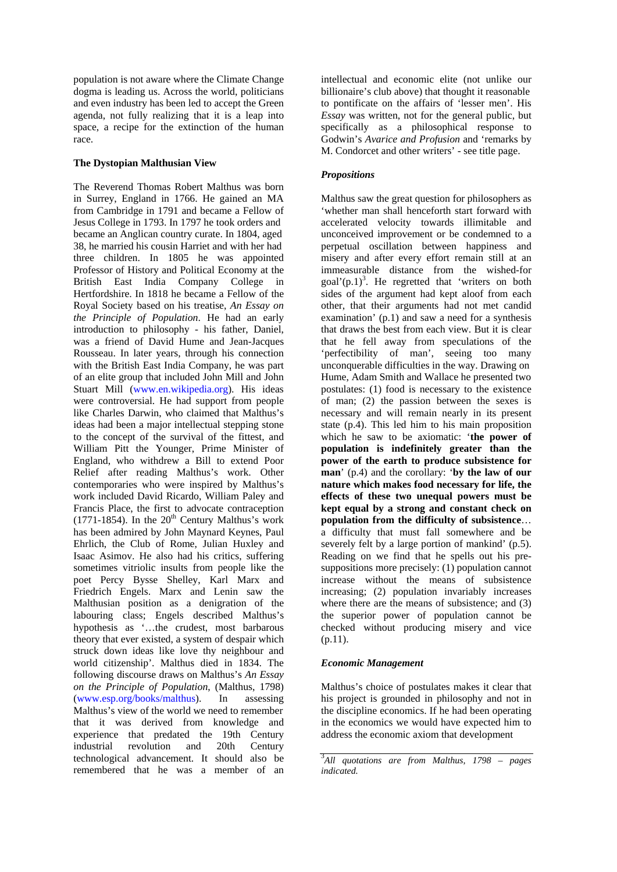population is not aware where the Climate Change dogma is leading us. Across the world, politicians and even industry has been led to accept the Green agenda, not fully realizing that it is a leap into space, a recipe for the extinction of the human race.

## **The Dystopian Malthusian View**

The Reverend Thomas Robert Malthus was born in Surrey, England in 1766. He gained an MA from Cambridge in 1791 and became a Fellow of Jesus College in 1793. In 1797 he took orders and became an Anglican country curate. In 1804, aged 38, he married his cousin Harriet and with her had three children. In 1805 he was appointed Professor of History and Political Economy at the British East India Company College in Hertfordshire. In 1818 he became a Fellow of the Royal Society based on his treatise, *An Essay on the Principle of Population*. He had an early introduction to philosophy - his father, Daniel, was a friend of David Hume and Jean-Jacques Rousseau. In later years, through his connection with the British East India Company, he was part of an elite group that included John Mill and John Stuart Mill (www.en.wikipedia.org). His ideas were controversial. He had support from people like Charles Darwin, who claimed that Malthus's ideas had been a major intellectual stepping stone to the concept of the survival of the fittest, and William Pitt the Younger, Prime Minister of England, who withdrew a Bill to extend Poor Relief after reading Malthus's work. Other contemporaries who were inspired by Malthus's work included David Ricardo, William Paley and Francis Place, the first to advocate contraception  $(1771-1854)$ . In the 20<sup>th</sup> Century Malthus's work has been admired by John Maynard Keynes, Paul Ehrlich, the Club of Rome, Julian Huxley and Isaac Asimov. He also had his critics, suffering sometimes vitriolic insults from people like the poet Percy Bysse Shelley, Karl Marx and Friedrich Engels. Marx and Lenin saw the Malthusian position as a denigration of the labouring class; Engels described Malthus's hypothesis as '…the crudest, most barbarous theory that ever existed, a system of despair which struck down ideas like love thy neighbour and world citizenship'. Malthus died in 1834. The following discourse draws on Malthus's *An Essay on the Principle of Population*, (Malthus, 1798) (www.esp.org/books/malthus). In assessing Malthus's view of the world we need to remember that it was derived from knowledge and experience that predated the 19th Century industrial revolution and 20th Century technological advancement. It should also be remembered that he was a member of an intellectual and economic elite (not unlike our billionaire's club above) that thought it reasonable to pontificate on the affairs of 'lesser men'. His *Essay* was written, not for the general public, but specifically as a philosophical response to Godwin's *Avarice and Profusion* and 'remarks by M. Condorcet and other writers' - see title page.

## *Propositions*

Malthus saw the great question for philosophers as 'whether man shall henceforth start forward with accelerated velocity towards illimitable and unconceived improvement or be condemned to a perpetual oscillation between happiness and misery and after every effort remain still at an immeasurable distance from the wished-for  $goal'(p.1)<sup>3</sup>$ . He regretted that 'writers on both sides of the argument had kept aloof from each other, that their arguments had not met candid examination' (p.1) and saw a need for a synthesis that draws the best from each view. But it is clear that he fell away from speculations of the 'perfectibility of man', seeing too many unconquerable difficulties in the way. Drawing on Hume, Adam Smith and Wallace he presented two postulates: (1) food is necessary to the existence of man; (2) the passion between the sexes is necessary and will remain nearly in its present state (p.4). This led him to his main proposition which he saw to be axiomatic: '**the power of population is indefinitely greater than the power of the earth to produce subsistence for man**' (p.4) and the corollary: '**by the law of our nature which makes food necessary for life, the effects of these two unequal powers must be kept equal by a strong and constant check on population from the difficulty of subsistence**… a difficulty that must fall somewhere and be severely felt by a large portion of mankind' (p.5). Reading on we find that he spells out his presuppositions more precisely: (1) population cannot increase without the means of subsistence increasing; (2) population invariably increases where there are the means of subsistence; and (3) the superior power of population cannot be checked without producing misery and vice (p.11).

## *Economic Management*

Malthus's choice of postulates makes it clear that his project is grounded in philosophy and not in the discipline economics. If he had been operating in the economics we would have expected him to address the economic axiom that development

3 *All quotations are from Malthus, 1798 – pages indicated.*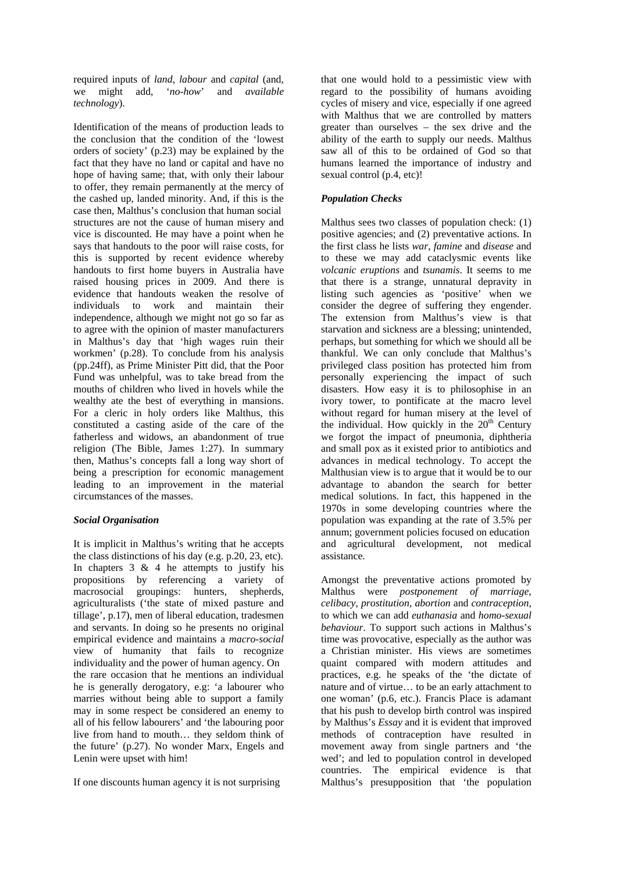required inputs of *land*, *labour* and *capital* (and, we might add, '*no-how*' and *available technology*).

Identification of the means of production leads to the conclusion that the condition of the 'lowest orders of society' (p.23) may be explained by the fact that they have no land or capital and have no hope of having same; that, with only their labour to offer, they remain permanently at the mercy of the cashed up, landed minority. And, if this is the case then, Malthus's conclusion that human social structures are not the cause of human misery and vice is discounted. He may have a point when he says that handouts to the poor will raise costs, for this is supported by recent evidence whereby handouts to first home buyers in Australia have raised housing prices in 2009. And there is evidence that handouts weaken the resolve of individuals to work and maintain their independence, although we might not go so far as to agree with the opinion of master manufacturers in Malthus's day that 'high wages ruin their workmen' (p.28). To conclude from his analysis (pp.24ff), as Prime Minister Pitt did, that the Poor Fund was unhelpful, was to take bread from the mouths of children who lived in hovels while the wealthy ate the best of everything in mansions. For a cleric in holy orders like Malthus, this constituted a casting aside of the care of the fatherless and widows, an abandonment of true religion (The Bible, James 1:27). In summary then, Mathus's concepts fall a long way short of being a prescription for economic management leading to an improvement in the material circumstances of the masses.

## *Social Organisation*

It is implicit in Malthus's writing that he accepts the class distinctions of his day (e.g. p.20, 23, etc). In chapters  $3 \& 4$  he attempts to justify his propositions by referencing a variety of macrosocial groupings: hunters, shepherds, agriculturalists ('the state of mixed pasture and tillage', p.17), men of liberal education, tradesmen and servants. In doing so he presents no original empirical evidence and maintains a *macro-social*  view of humanity that fails to recognize individuality and the power of human agency. On the rare occasion that he mentions an individual he is generally derogatory, e.g: 'a labourer who marries without being able to support a family may in some respect be considered an enemy to all of his fellow labourers' and 'the labouring poor live from hand to mouth… they seldom think of the future' (p.27). No wonder Marx, Engels and Lenin were upset with him!

If one discounts human agency it is not surprising

that one would hold to a pessimistic view with regard to the possibility of humans avoiding cycles of misery and vice, especially if one agreed with Malthus that we are controlled by matters greater than ourselves – the sex drive and the ability of the earth to supply our needs. Malthus saw all of this to be ordained of God so that humans learned the importance of industry and sexual control (p.4, etc)!

## *Population Checks*

Malthus sees two classes of population check: (1) positive agencies; and (2) preventative actions. In the first class he lists *war*, *famine* and *disease* and to these we may add cataclysmic events like *volcanic eruptions* and *tsunamis*. It seems to me that there is a strange, unnatural depravity in listing such agencies as 'positive' when we consider the degree of suffering they engender. The extension from Malthus's view is that starvation and sickness are a blessing; unintended, perhaps, but something for which we should all be thankful. We can only conclude that Malthus's privileged class position has protected him from personally experiencing the impact of such disasters. How easy it is to philosophise in an ivory tower, to pontificate at the macro level without regard for human misery at the level of the individual. How quickly in the  $20<sup>th</sup>$  Century we forgot the impact of pneumonia, diphtheria and small pox as it existed prior to antibiotics and advances in medical technology. To accept the Malthusian view is to argue that it would be to our advantage to abandon the search for better medical solutions. In fact, this happened in the 1970s in some developing countries where the population was expanding at the rate of 3.5% per annum; government policies focused on education and agricultural development, not medical assistance.

Amongst the preventative actions promoted by Malthus were *postponement of marriage*, *celibacy*, *prostitution*, *abortion* and *contraception*, to which we can add *euthanasia* and *homo-sexual behaviour*. To support such actions in Malthus's time was provocative, especially as the author was a Christian minister. His views are sometimes quaint compared with modern attitudes and practices, e.g. he speaks of the 'the dictate of nature and of virtue… to be an early attachment to one woman' (p.6, etc.). Francis Place is adamant that his push to develop birth control was inspired by Malthus's *Essay* and it is evident that improved methods of contraception have resulted in movement away from single partners and 'the wed'; and led to population control in developed countries. The empirical evidence is that Malthus's presupposition that 'the population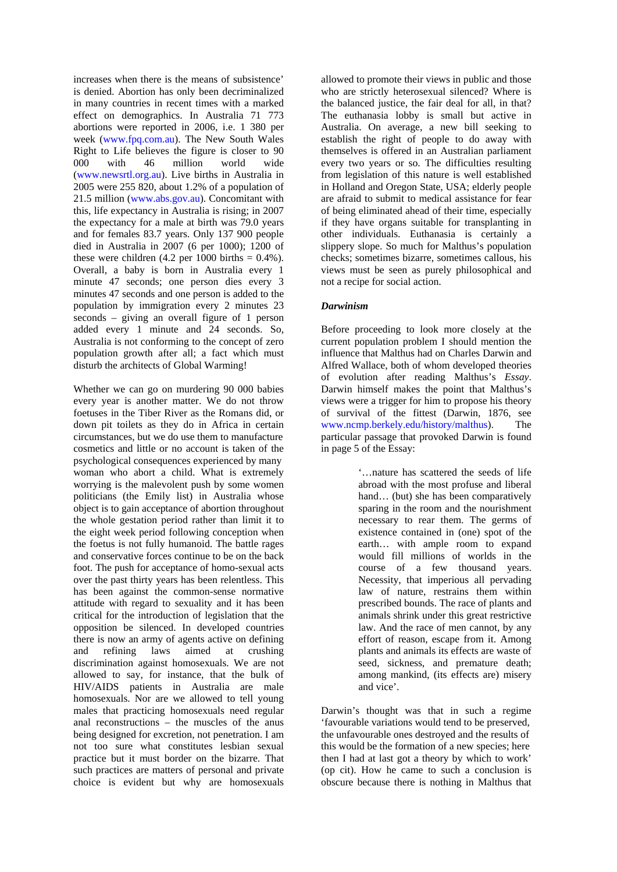increases when there is the means of subsistence' is denied. Abortion has only been decriminalized in many countries in recent times with a marked effect on demographics. In Australia 71 773 abortions were reported in 2006, i.e. 1 380 per week (www.fpq.com.au). The New South Wales Right to Life believes the figure is closer to 90 000 with 46 million world wide (www.newsrtl.org.au). Live births in Australia in 2005 were 255 820, about 1.2% of a population of 21.5 million (www.abs.gov.au). Concomitant with this, life expectancy in Australia is rising; in 2007 the expectancy for a male at birth was 79.0 years and for females 83.7 years. Only 137 900 people died in Australia in 2007 (6 per 1000); 1200 of these were children  $(4.2 \text{ per } 1000 \text{ births} = 0.4\%)$ . Overall, a baby is born in Australia every 1 minute 47 seconds; one person dies every 3 minutes 47 seconds and one person is added to the population by immigration every 2 minutes 23 seconds – giving an overall figure of 1 person added every 1 minute and 24 seconds. So, Australia is not conforming to the concept of zero population growth after all; a fact which must disturb the architects of Global Warming!

Whether we can go on murdering 90 000 babies every year is another matter. We do not throw foetuses in the Tiber River as the Romans did, or down pit toilets as they do in Africa in certain circumstances, but we do use them to manufacture cosmetics and little or no account is taken of the psychological consequences experienced by many woman who abort a child. What is extremely worrying is the malevolent push by some women politicians (the Emily list) in Australia whose object is to gain acceptance of abortion throughout the whole gestation period rather than limit it to the eight week period following conception when the foetus is not fully humanoid. The battle rages and conservative forces continue to be on the back foot. The push for acceptance of homo-sexual acts over the past thirty years has been relentless. This has been against the common-sense normative attitude with regard to sexuality and it has been critical for the introduction of legislation that the opposition be silenced. In developed countries there is now an army of agents active on defining and refining laws aimed at crushing discrimination against homosexuals. We are not allowed to say, for instance, that the bulk of HIV/AIDS patients in Australia are male homosexuals. Nor are we allowed to tell young males that practicing homosexuals need regular anal reconstructions – the muscles of the anus being designed for excretion, not penetration. I am not too sure what constitutes lesbian sexual practice but it must border on the bizarre. That such practices are matters of personal and private choice is evident but why are homosexuals

allowed to promote their views in public and those who are strictly heterosexual silenced? Where is the balanced justice, the fair deal for all, in that? The euthanasia lobby is small but active in Australia. On average, a new bill seeking to establish the right of people to do away with themselves is offered in an Australian parliament every two years or so. The difficulties resulting from legislation of this nature is well established in Holland and Oregon State, USA; elderly people are afraid to submit to medical assistance for fear of being eliminated ahead of their time, especially if they have organs suitable for transplanting in other individuals. Euthanasia is certainly a slippery slope. So much for Malthus's population checks; sometimes bizarre, sometimes callous, his views must be seen as purely philosophical and not a recipe for social action.

#### *Darwinism*

Before proceeding to look more closely at the current population problem I should mention the influence that Malthus had on Charles Darwin and Alfred Wallace, both of whom developed theories of evolution after reading Malthus's *Essay*. Darwin himself makes the point that Malthus's views were a trigger for him to propose his theory of survival of the fittest (Darwin, 1876, see www.ncmp.berkely.edu/history/malthus). The particular passage that provoked Darwin is found in page 5 of the Essay:

> '…nature has scattered the seeds of life abroad with the most profuse and liberal hand… (but) she has been comparatively sparing in the room and the nourishment necessary to rear them. The germs of existence contained in (one) spot of the earth… with ample room to expand would fill millions of worlds in the course of a few thousand years. Necessity, that imperious all pervading law of nature, restrains them within prescribed bounds. The race of plants and animals shrink under this great restrictive law. And the race of men cannot, by any effort of reason, escape from it. Among plants and animals its effects are waste of seed, sickness, and premature death; among mankind, (its effects are) misery and vice'.

Darwin's thought was that in such a regime 'favourable variations would tend to be preserved, the unfavourable ones destroyed and the results of this would be the formation of a new species; here then I had at last got a theory by which to work' (op cit). How he came to such a conclusion is obscure because there is nothing in Malthus that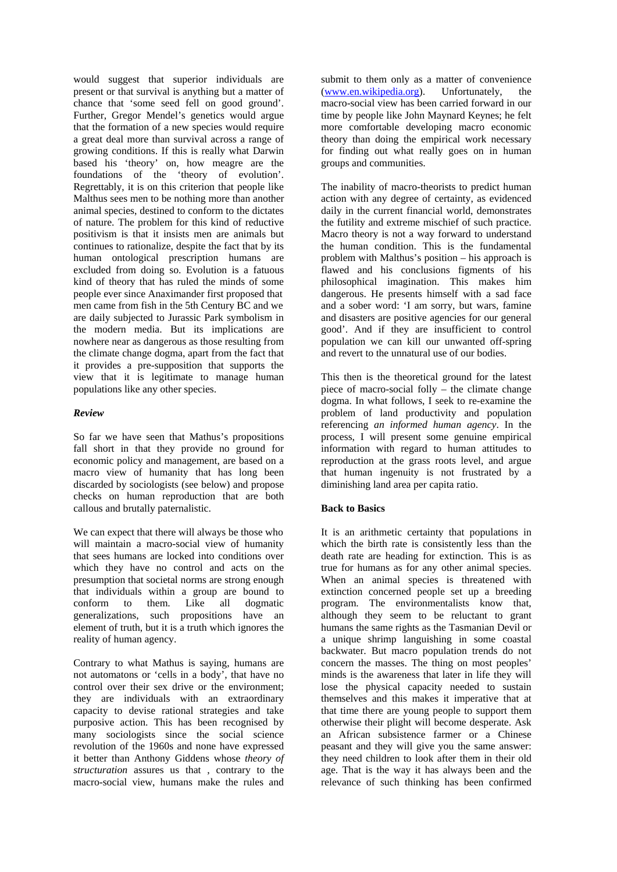would suggest that superior individuals are present or that survival is anything but a matter of chance that 'some seed fell on good ground'. Further, Gregor Mendel's genetics would argue that the formation of a new species would require a great deal more than survival across a range of growing conditions. If this is really what Darwin based his 'theory' on, how meagre are the foundations of the 'theory of evolution'. Regrettably, it is on this criterion that people like Malthus sees men to be nothing more than another animal species, destined to conform to the dictates of nature. The problem for this kind of reductive positivism is that it insists men are animals but continues to rationalize, despite the fact that by its human ontological prescription humans are excluded from doing so. Evolution is a fatuous kind of theory that has ruled the minds of some people ever since Anaximander first proposed that men came from fish in the 5th Century BC and we are daily subjected to Jurassic Park symbolism in the modern media. But its implications are nowhere near as dangerous as those resulting from the climate change dogma, apart from the fact that it provides a pre-supposition that supports the view that it is legitimate to manage human populations like any other species.

## *Review*

So far we have seen that Mathus's propositions fall short in that they provide no ground for economic policy and management, are based on a macro view of humanity that has long been discarded by sociologists (see below) and propose checks on human reproduction that are both callous and brutally paternalistic.

We can expect that there will always be those who will maintain a macro-social view of humanity that sees humans are locked into conditions over which they have no control and acts on the presumption that societal norms are strong enough that individuals within a group are bound to conform to them. Like all dogmatic generalizations, such propositions have an element of truth, but it is a truth which ignores the reality of human agency.

Contrary to what Mathus is saying, humans are not automatons or 'cells in a body', that have no control over their sex drive or the environment; they are individuals with an extraordinary capacity to devise rational strategies and take purposive action. This has been recognised by many sociologists since the social science revolution of the 1960s and none have expressed it better than Anthony Giddens whose *theory of structuration* assures us that , contrary to the macro-social view, humans make the rules and submit to them only as a matter of convenience (www.en.wikipedia.org). Unfortunately, the macro-social view has been carried forward in our time by people like John Maynard Keynes; he felt more comfortable developing macro economic theory than doing the empirical work necessary for finding out what really goes on in human groups and communities.

The inability of macro-theorists to predict human action with any degree of certainty, as evidenced daily in the current financial world, demonstrates the futility and extreme mischief of such practice. Macro theory is not a way forward to understand the human condition. This is the fundamental problem with Malthus's position – his approach is flawed and his conclusions figments of his philosophical imagination. This makes him dangerous. He presents himself with a sad face and a sober word: 'I am sorry, but wars, famine and disasters are positive agencies for our general good'. And if they are insufficient to control population we can kill our unwanted off-spring and revert to the unnatural use of our bodies.

This then is the theoretical ground for the latest piece of macro-social folly – the climate change dogma. In what follows, I seek to re-examine the problem of land productivity and population referencing *an informed human agency*. In the process, I will present some genuine empirical information with regard to human attitudes to reproduction at the grass roots level, and argue that human ingenuity is not frustrated by a diminishing land area per capita ratio.

## **Back to Basics**

It is an arithmetic certainty that populations in which the birth rate is consistently less than the death rate are heading for extinction. This is as true for humans as for any other animal species. When an animal species is threatened with extinction concerned people set up a breeding program. The environmentalists know that, although they seem to be reluctant to grant humans the same rights as the Tasmanian Devil or a unique shrimp languishing in some coastal backwater. But macro population trends do not concern the masses. The thing on most peoples' minds is the awareness that later in life they will lose the physical capacity needed to sustain themselves and this makes it imperative that at that time there are young people to support them otherwise their plight will become desperate. Ask an African subsistence farmer or a Chinese peasant and they will give you the same answer: they need children to look after them in their old age. That is the way it has always been and the relevance of such thinking has been confirmed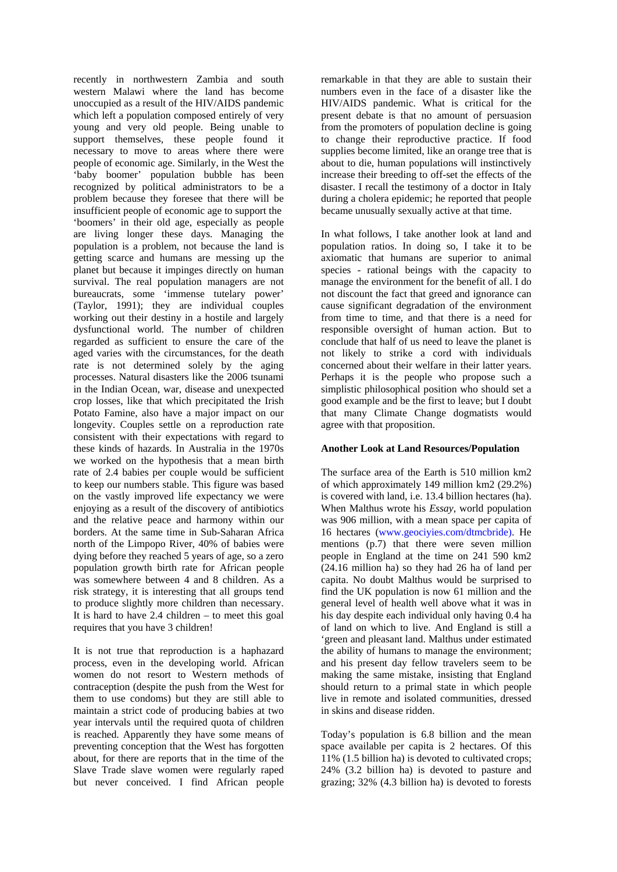recently in northwestern Zambia and south western Malawi where the land has become unoccupied as a result of the HIV/AIDS pandemic which left a population composed entirely of very young and very old people. Being unable to support themselves, these people found it necessary to move to areas where there were people of economic age. Similarly, in the West the 'baby boomer' population bubble has been recognized by political administrators to be a problem because they foresee that there will be insufficient people of economic age to support the 'boomers' in their old age, especially as people are living longer these days. Managing the population is a problem, not because the land is getting scarce and humans are messing up the planet but because it impinges directly on human survival. The real population managers are not bureaucrats, some 'immense tutelary power' (Taylor, 1991); they are individual couples working out their destiny in a hostile and largely dysfunctional world. The number of children regarded as sufficient to ensure the care of the aged varies with the circumstances, for the death rate is not determined solely by the aging processes. Natural disasters like the 2006 tsunami in the Indian Ocean, war, disease and unexpected crop losses, like that which precipitated the Irish Potato Famine, also have a major impact on our longevity. Couples settle on a reproduction rate consistent with their expectations with regard to these kinds of hazards. In Australia in the 1970s we worked on the hypothesis that a mean birth rate of 2.4 babies per couple would be sufficient to keep our numbers stable. This figure was based on the vastly improved life expectancy we were enjoying as a result of the discovery of antibiotics and the relative peace and harmony within our borders. At the same time in Sub-Saharan Africa north of the Limpopo River, 40% of babies were dying before they reached 5 years of age, so a zero population growth birth rate for African people was somewhere between 4 and 8 children. As a risk strategy, it is interesting that all groups tend to produce slightly more children than necessary. It is hard to have  $2.4$  children – to meet this goal requires that you have 3 children!

It is not true that reproduction is a haphazard process, even in the developing world. African women do not resort to Western methods of contraception (despite the push from the West for them to use condoms) but they are still able to maintain a strict code of producing babies at two year intervals until the required quota of children is reached. Apparently they have some means of preventing conception that the West has forgotten about, for there are reports that in the time of the Slave Trade slave women were regularly raped but never conceived. I find African people remarkable in that they are able to sustain their numbers even in the face of a disaster like the HIV/AIDS pandemic. What is critical for the present debate is that no amount of persuasion from the promoters of population decline is going to change their reproductive practice. If food supplies become limited, like an orange tree that is about to die, human populations will instinctively increase their breeding to off-set the effects of the disaster. I recall the testimony of a doctor in Italy during a cholera epidemic; he reported that people became unusually sexually active at that time.

In what follows, I take another look at land and population ratios. In doing so, I take it to be axiomatic that humans are superior to animal species - rational beings with the capacity to manage the environment for the benefit of all. I do not discount the fact that greed and ignorance can cause significant degradation of the environment from time to time, and that there is a need for responsible oversight of human action. But to conclude that half of us need to leave the planet is not likely to strike a cord with individuals concerned about their welfare in their latter years. Perhaps it is the people who propose such a simplistic philosophical position who should set a good example and be the first to leave; but I doubt that many Climate Change dogmatists would agree with that proposition.

#### **Another Look at Land Resources/Population**

The surface area of the Earth is 510 million km2 of which approximately 149 million km2 (29.2%) is covered with land, i.e. 13.4 billion hectares (ha). When Malthus wrote his *Essay*, world population was 906 million, with a mean space per capita of 16 hectares (www.geociyies.com/dtmcbride). He mentions (p.7) that there were seven million people in England at the time on 241 590 km2 (24.16 million ha) so they had 26 ha of land per capita. No doubt Malthus would be surprised to find the UK population is now 61 million and the general level of health well above what it was in his day despite each individual only having 0.4 ha of land on which to live. And England is still a 'green and pleasant land. Malthus under estimated the ability of humans to manage the environment; and his present day fellow travelers seem to be making the same mistake, insisting that England should return to a primal state in which people live in remote and isolated communities, dressed in skins and disease ridden.

Today's population is 6.8 billion and the mean space available per capita is 2 hectares. Of this 11% (1.5 billion ha) is devoted to cultivated crops; 24% (3.2 billion ha) is devoted to pasture and grazing; 32% (4.3 billion ha) is devoted to forests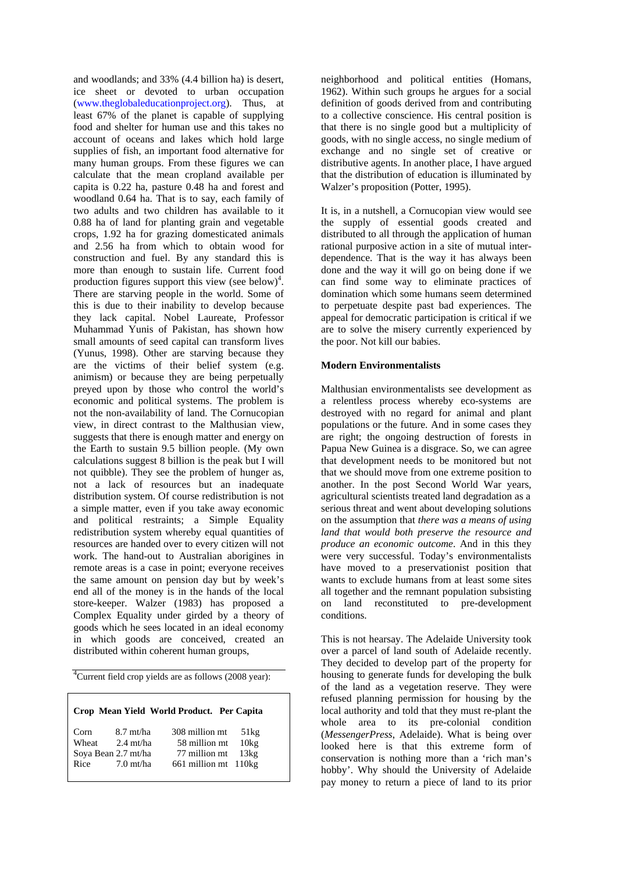and woodlands; and 33% (4.4 billion ha) is desert, ice sheet or devoted to urban occupation (www.theglobaleducationproject.org). Thus, at least 67% of the planet is capable of supplying food and shelter for human use and this takes no account of oceans and lakes which hold large supplies of fish, an important food alternative for many human groups. From these figures we can calculate that the mean cropland available per capita is 0.22 ha, pasture 0.48 ha and forest and woodland 0.64 ha. That is to say, each family of two adults and two children has available to it 0.88 ha of land for planting grain and vegetable crops, 1.92 ha for grazing domesticated animals and 2.56 ha from which to obtain wood for construction and fuel. By any standard this is more than enough to sustain life. Current food production figures support this view (see below)<sup>4</sup>. There are starving people in the world. Some of this is due to their inability to develop because they lack capital. Nobel Laureate, Professor Muhammad Yunis of Pakistan, has shown how small amounts of seed capital can transform lives (Yunus, 1998). Other are starving because they are the victims of their belief system (e.g. animism) or because they are being perpetually preyed upon by those who control the world's economic and political systems. The problem is not the non-availability of land. The Cornucopian view, in direct contrast to the Malthusian view, suggests that there is enough matter and energy on the Earth to sustain 9.5 billion people. (My own calculations suggest 8 billion is the peak but I will not quibble). They see the problem of hunger as, not a lack of resources but an inadequate distribution system. Of course redistribution is not a simple matter, even if you take away economic and political restraints; a Simple Equality redistribution system whereby equal quantities of resources are handed over to every citizen will not work. The hand-out to Australian aborigines in remote areas is a case in point; everyone receives the same amount on pension day but by week's end all of the money is in the hands of the local store-keeper. Walzer (1983) has proposed a Complex Equality under girded by a theory of goods which he sees located in an ideal economy in which goods are conceived, created an distributed within coherent human groups,

<sup>4</sup> Current field crop yields are as follows (2008 year):

#### **Crop Mean Yield World Product. Per Capita**

| Corn<br>Wheat       | $8.7 \text{ mt/ha}$<br>$2.4 \text{ mt/ha}$ | 308 million mt<br>58 million mt | 51kg<br>10kg |
|---------------------|--------------------------------------------|---------------------------------|--------------|
| Soya Bean 2.7 mt/ha |                                            | 77 million mt 13kg              |              |
| Rice                | $7.0 \text{ mt/ha}$                        | 661 million mt 110kg            |              |

neighborhood and political entities (Homans, 1962). Within such groups he argues for a social definition of goods derived from and contributing to a collective conscience. His central position is that there is no single good but a multiplicity of goods, with no single access, no single medium of exchange and no single set of creative or distributive agents. In another place, I have argued that the distribution of education is illuminated by Walzer's proposition (Potter, 1995).

It is, in a nutshell, a Cornucopian view would see the supply of essential goods created and distributed to all through the application of human rational purposive action in a site of mutual interdependence. That is the way it has always been done and the way it will go on being done if we can find some way to eliminate practices of domination which some humans seem determined to perpetuate despite past bad experiences. The appeal for democratic participation is critical if we are to solve the misery currently experienced by the poor. Not kill our babies.

#### **Modern Environmentalists**

Malthusian environmentalists see development as a relentless process whereby eco-systems are destroyed with no regard for animal and plant populations or the future. And in some cases they are right; the ongoing destruction of forests in Papua New Guinea is a disgrace. So, we can agree that development needs to be monitored but not that we should move from one extreme position to another. In the post Second World War years, agricultural scientists treated land degradation as a serious threat and went about developing solutions on the assumption that *there was a means of using land that would both preserve the resource and produce an economic outcome*. And in this they were very successful. Today's environmentalists have moved to a preservationist position that wants to exclude humans from at least some sites all together and the remnant population subsisting on land reconstituted to pre-development conditions.

This is not hearsay. The Adelaide University took over a parcel of land south of Adelaide recently. They decided to develop part of the property for housing to generate funds for developing the bulk of the land as a vegetation reserve. They were refused planning permission for housing by the local authority and told that they must re-plant the whole area to its pre-colonial condition (*MessengerPress*, Adelaide). What is being over looked here is that this extreme form of conservation is nothing more than a 'rich man's hobby'. Why should the University of Adelaide pay money to return a piece of land to its prior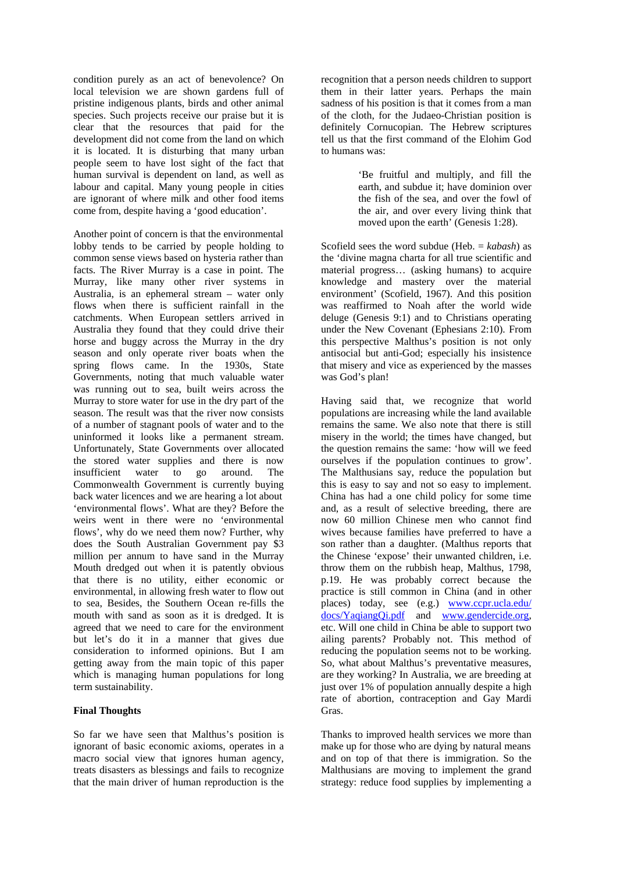condition purely as an act of benevolence? On local television we are shown gardens full of pristine indigenous plants, birds and other animal species. Such projects receive our praise but it is clear that the resources that paid for the development did not come from the land on which it is located. It is disturbing that many urban people seem to have lost sight of the fact that human survival is dependent on land, as well as labour and capital. Many young people in cities are ignorant of where milk and other food items come from, despite having a 'good education'.

Another point of concern is that the environmental lobby tends to be carried by people holding to common sense views based on hysteria rather than facts. The River Murray is a case in point. The Murray, like many other river systems in Australia, is an ephemeral stream – water only flows when there is sufficient rainfall in the catchments. When European settlers arrived in Australia they found that they could drive their horse and buggy across the Murray in the dry season and only operate river boats when the spring flows came. In the 1930s, State Governments, noting that much valuable water was running out to sea, built weirs across the Murray to store water for use in the dry part of the season. The result was that the river now consists of a number of stagnant pools of water and to the uninformed it looks like a permanent stream. Unfortunately, State Governments over allocated the stored water supplies and there is now insufficient water to go around. The Commonwealth Government is currently buying back water licences and we are hearing a lot about 'environmental flows'. What are they? Before the weirs went in there were no 'environmental flows', why do we need them now? Further, why does the South Australian Government pay \$3 million per annum to have sand in the Murray Mouth dredged out when it is patently obvious that there is no utility, either economic or environmental, in allowing fresh water to flow out to sea, Besides, the Southern Ocean re-fills the mouth with sand as soon as it is dredged. It is agreed that we need to care for the environment but let's do it in a manner that gives due consideration to informed opinions. But I am getting away from the main topic of this paper which is managing human populations for long term sustainability.

## **Final Thoughts**

So far we have seen that Malthus's position is ignorant of basic economic axioms, operates in a macro social view that ignores human agency, treats disasters as blessings and fails to recognize that the main driver of human reproduction is the recognition that a person needs children to support them in their latter years. Perhaps the main sadness of his position is that it comes from a man of the cloth, for the Judaeo-Christian position is definitely Cornucopian. The Hebrew scriptures tell us that the first command of the Elohim God to humans was:

> 'Be fruitful and multiply, and fill the earth, and subdue it; have dominion over the fish of the sea, and over the fowl of the air, and over every living think that moved upon the earth' (Genesis 1:28).

Scofield sees the word subdue (Heb. = *kabash*) as the 'divine magna charta for all true scientific and material progress… (asking humans) to acquire knowledge and mastery over the material environment' (Scofield, 1967). And this position was reaffirmed to Noah after the world wide deluge (Genesis 9:1) and to Christians operating under the New Covenant (Ephesians 2:10). From this perspective Malthus's position is not only antisocial but anti-God; especially his insistence that misery and vice as experienced by the masses was God's plan!

Having said that, we recognize that world populations are increasing while the land available remains the same. We also note that there is still misery in the world; the times have changed, but the question remains the same: 'how will we feed ourselves if the population continues to grow'. The Malthusians say, reduce the population but this is easy to say and not so easy to implement. China has had a one child policy for some time and, as a result of selective breeding, there are now 60 million Chinese men who cannot find wives because families have preferred to have a son rather than a daughter. (Malthus reports that the Chinese 'expose' their unwanted children, i.e. throw them on the rubbish heap, Malthus, 1798, p.19. He was probably correct because the practice is still common in China (and in other places) today, see (e.g.) www.ccpr.ucla.edu/ docs/YaqiangQi.pdf and www.gendercide.org, etc. Will one child in China be able to support two ailing parents? Probably not. This method of reducing the population seems not to be working. So, what about Malthus's preventative measures, are they working? In Australia, we are breeding at just over 1% of population annually despite a high rate of abortion, contraception and Gay Mardi Gras.

Thanks to improved health services we more than make up for those who are dying by natural means and on top of that there is immigration. So the Malthusians are moving to implement the grand strategy: reduce food supplies by implementing a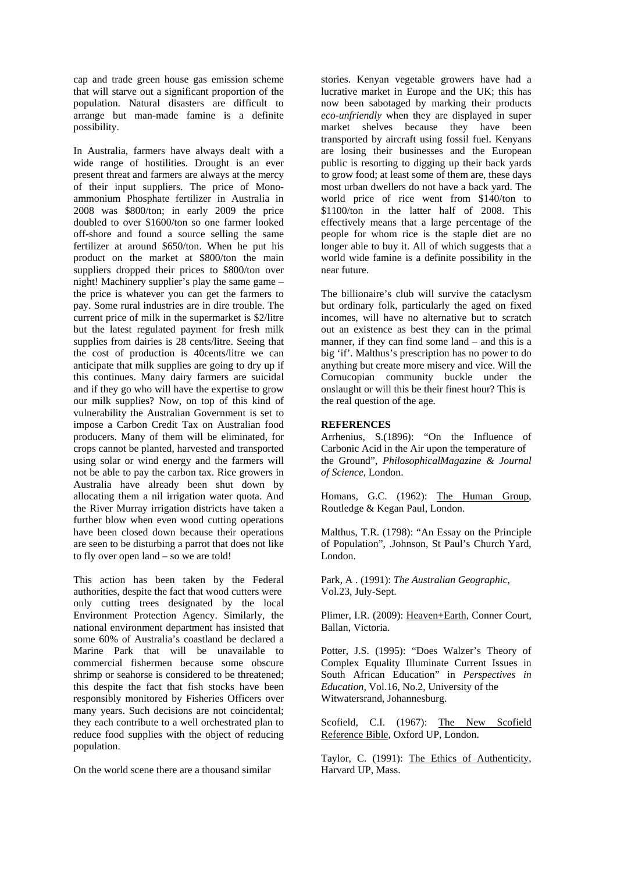cap and trade green house gas emission scheme that will starve out a significant proportion of the population. Natural disasters are difficult to arrange but man-made famine is a definite possibility.

In Australia, farmers have always dealt with a wide range of hostilities. Drought is an ever present threat and farmers are always at the mercy of their input suppliers. The price of Monoammonium Phosphate fertilizer in Australia in 2008 was \$800/ton; in early 2009 the price doubled to over \$1600/ton so one farmer looked off-shore and found a source selling the same fertilizer at around \$650/ton. When he put his product on the market at \$800/ton the main suppliers dropped their prices to \$800/ton over night! Machinery supplier's play the same game – the price is whatever you can get the farmers to pay. Some rural industries are in dire trouble. The current price of milk in the supermarket is \$2/litre but the latest regulated payment for fresh milk supplies from dairies is 28 cents/litre. Seeing that the cost of production is 40cents/litre we can anticipate that milk supplies are going to dry up if this continues. Many dairy farmers are suicidal and if they go who will have the expertise to grow our milk supplies? Now, on top of this kind of vulnerability the Australian Government is set to impose a Carbon Credit Tax on Australian food producers. Many of them will be eliminated, for crops cannot be planted, harvested and transported using solar or wind energy and the farmers will not be able to pay the carbon tax. Rice growers in Australia have already been shut down by allocating them a nil irrigation water quota. And the River Murray irrigation districts have taken a further blow when even wood cutting operations have been closed down because their operations are seen to be disturbing a parrot that does not like to fly over open land – so we are told!

This action has been taken by the Federal authorities, despite the fact that wood cutters were only cutting trees designated by the local Environment Protection Agency. Similarly, the national environment department has insisted that some 60% of Australia's coastland be declared a Marine Park that will be unavailable to commercial fishermen because some obscure shrimp or seahorse is considered to be threatened; this despite the fact that fish stocks have been responsibly monitored by Fisheries Officers over many years. Such decisions are not coincidental; they each contribute to a well orchestrated plan to reduce food supplies with the object of reducing population.

On the world scene there are a thousand similar

stories. Kenyan vegetable growers have had a lucrative market in Europe and the UK; this has now been sabotaged by marking their products *eco-unfriendly* when they are displayed in super market shelves because they have been transported by aircraft using fossil fuel. Kenyans are losing their businesses and the European public is resorting to digging up their back yards to grow food; at least some of them are, these days most urban dwellers do not have a back yard. The world price of rice went from \$140/ton to \$1100/ton in the latter half of 2008. This effectively means that a large percentage of the people for whom rice is the staple diet are no longer able to buy it. All of which suggests that a world wide famine is a definite possibility in the near future.

The billionaire's club will survive the cataclysm but ordinary folk, particularly the aged on fixed incomes, will have no alternative but to scratch out an existence as best they can in the primal manner, if they can find some land – and this is a big 'if'. Malthus's prescription has no power to do anything but create more misery and vice. Will the Cornucopian community buckle under the onslaught or will this be their finest hour? This is the real question of the age.

#### **REFERENCES**

Arrhenius, S.(1896): "On the Influence of Carbonic Acid in the Air upon the temperature of the Ground", *PhilosophicalMagazine & Journal of Science*, London.

Homans, G.C. (1962): The Human Group, Routledge & Kegan Paul, London.

Malthus, T.R. (1798): "An Essay on the Principle of Population", .Johnson, St Paul's Church Yard, London.

Park, A . (1991): *The Australian Geographic*, Vol.23, July-Sept.

Plimer, I.R. (2009): Heaven+Earth, Conner Court, Ballan, Victoria.

Potter, J.S. (1995): "Does Walzer's Theory of Complex Equality Illuminate Current Issues in South African Education" in *Perspectives in Education*, Vol.16, No.2, University of the Witwatersrand, Johannesburg.

Scofield, C.I. (1967): The New Scofield Reference Bible, Oxford UP, London.

Taylor, C. (1991): The Ethics of Authenticity, Harvard UP, Mass.